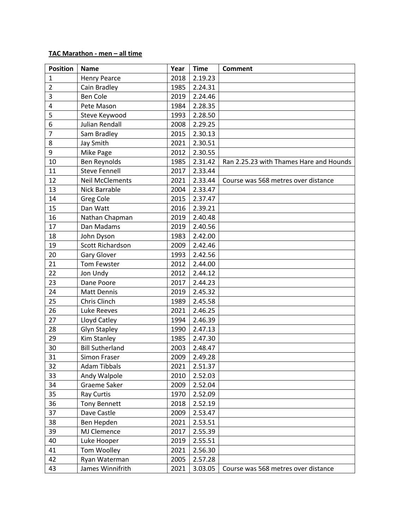## **TAC Marathon - men – all time**

| <b>Position</b> | <b>Name</b>            | Year | <b>Time</b> | <b>Comment</b>                          |
|-----------------|------------------------|------|-------------|-----------------------------------------|
| 1               | <b>Henry Pearce</b>    | 2018 | 2.19.23     |                                         |
| $\overline{2}$  | Cain Bradley           | 1985 | 2.24.31     |                                         |
| 3               | <b>Ben Cole</b>        | 2019 | 2.24.46     |                                         |
| 4               | Pete Mason             | 1984 | 2.28.35     |                                         |
| 5               | Steve Keywood          | 1993 | 2.28.50     |                                         |
| 6               | Julian Rendall         | 2008 | 2.29.25     |                                         |
| $\overline{7}$  | Sam Bradley            | 2015 | 2.30.13     |                                         |
| 8               | Jay Smith              | 2021 | 2.30.51     |                                         |
| 9               | Mike Page              | 2012 | 2.30.55     |                                         |
| 10              | Ben Reynolds           | 1985 | 2.31.42     | Ran 2.25.23 with Thames Hare and Hounds |
| 11              | <b>Steve Fennell</b>   | 2017 | 2.33.44     |                                         |
| 12              | <b>Neil McClements</b> | 2021 | 2.33.44     | Course was 568 metres over distance     |
| 13              | <b>Nick Barrable</b>   | 2004 | 2.33.47     |                                         |
| 14              | Greg Cole              | 2015 | 2.37.47     |                                         |
| 15              | Dan Watt               | 2016 | 2.39.21     |                                         |
| 16              | Nathan Chapman         | 2019 | 2.40.48     |                                         |
| 17              | Dan Madams             | 2019 | 2.40.56     |                                         |
| 18              | John Dyson             | 1983 | 2.42.00     |                                         |
| 19              | Scott Richardson       | 2009 | 2.42.46     |                                         |
| 20              | <b>Gary Glover</b>     | 1993 | 2.42.56     |                                         |
| 21              | <b>Tom Fewster</b>     | 2012 | 2.44.00     |                                         |
| 22              | Jon Undy               | 2012 | 2.44.12     |                                         |
| 23              | Dane Poore             | 2017 | 2.44.23     |                                         |
| 24              | <b>Matt Dennis</b>     | 2019 | 2.45.32     |                                         |
| 25              | Chris Clinch           | 1989 | 2.45.58     |                                         |
| 26              | Luke Reeves            | 2021 | 2.46.25     |                                         |
| 27              | Lloyd Catley           | 1994 | 2.46.39     |                                         |
| 28              | <b>Glyn Stapley</b>    | 1990 | 2.47.13     |                                         |
| 29              | Kim Stanley            | 1985 | 2.47.30     |                                         |
| 30              | <b>Bill Sutherland</b> | 2003 | 2.48.47     |                                         |
| 31              | Simon Fraser           | 2009 | 2.49.28     |                                         |
| 32              | <b>Adam Tibbals</b>    | 2021 | 2.51.37     |                                         |
| 33              | Andy Walpole           | 2010 | 2.52.03     |                                         |
| 34              | Graeme Saker           | 2009 | 2.52.04     |                                         |
| 35              | <b>Ray Curtis</b>      | 1970 | 2.52.09     |                                         |
| 36              | <b>Tony Bennett</b>    | 2018 | 2.52.19     |                                         |
| 37              | Dave Castle            | 2009 | 2.53.47     |                                         |
| 38              | Ben Hepden             | 2021 | 2.53.51     |                                         |
| 39              | MJ Clemence            | 2017 | 2.55.39     |                                         |
| 40              | Luke Hooper            | 2019 | 2.55.51     |                                         |
| 41              | Tom Woolley            | 2021 | 2.56.30     |                                         |
| 42              | Ryan Waterman          | 2005 | 2.57.28     |                                         |
| 43              | James Winnifrith       | 2021 | 3.03.05     | Course was 568 metres over distance     |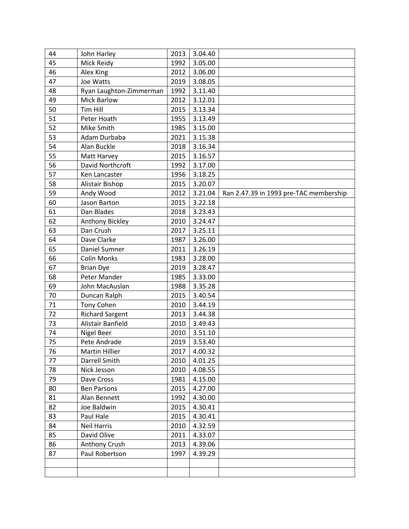| 44 | John Harley             | 2013 | 3.04.40 |                                        |
|----|-------------------------|------|---------|----------------------------------------|
| 45 | Mick Reidy              | 1992 | 3.05.00 |                                        |
| 46 | Alex King               | 2012 | 3.06.00 |                                        |
| 47 | Joe Watts               | 2019 | 3.08.05 |                                        |
| 48 | Ryan Laughton-Zimmerman | 1992 | 3.11.40 |                                        |
| 49 | <b>Mick Barlow</b>      | 2012 | 3.12.01 |                                        |
| 50 | Tim Hill                | 2015 | 3.13.34 |                                        |
| 51 | Peter Hoath             | 1955 | 3.13.49 |                                        |
| 52 | Mike Smith              | 1985 | 3.15.00 |                                        |
| 53 | Adam Durbaba            | 2021 | 3.15.38 |                                        |
| 54 | Alan Buckle             | 2018 | 3.16.34 |                                        |
| 55 | Matt Harvey             | 2015 | 3.16.57 |                                        |
| 56 | David Northcroft        | 1992 | 3.17.00 |                                        |
| 57 | Ken Lancaster           | 1956 | 3.18.25 |                                        |
| 58 | Alistair Bishop         | 2015 | 3.20.07 |                                        |
| 59 | Andy Wood               | 2012 | 3.21.04 | Ran 2.47.39 in 1993 pre-TAC membership |
| 60 | Jason Barton            | 2015 | 3.22.18 |                                        |
| 61 | Dan Blades              | 2018 | 3.23.43 |                                        |
| 62 | <b>Anthony Bickley</b>  | 2010 | 3.24.47 |                                        |
| 63 | Dan Crush               | 2017 | 3.25.11 |                                        |
| 64 | Dave Clarke             | 1987 | 3.26.00 |                                        |
| 65 | Daniel Sumner           | 2011 | 3.26.19 |                                        |
| 66 | <b>Colin Monks</b>      | 1983 | 3.28.00 |                                        |
| 67 | <b>Brian Dye</b>        | 2019 | 3.28.47 |                                        |
| 68 | Peter Mander            | 1985 | 3.33.00 |                                        |
| 69 | John MacAuslan          | 1988 | 3.35.28 |                                        |
| 70 | Duncan Ralph            | 2015 | 3.40.54 |                                        |
| 71 | <b>Tony Cohen</b>       | 2010 | 3.44.19 |                                        |
| 72 | <b>Richard Sargent</b>  | 2013 | 3.44.38 |                                        |
| 73 | Alistair Banfield       | 2010 | 3.49.43 |                                        |
| 74 | Nigel Beer              | 2010 | 3.51.10 |                                        |
| 75 | Pete Andrade            | 2019 | 3.53.40 |                                        |
| 76 | Martin Hillier          | 2017 | 4.00.32 |                                        |
| 77 | Darrell Smith           | 2010 | 4.01.25 |                                        |
| 78 | Nick Jesson             | 2010 | 4.08.55 |                                        |
| 79 | Dave Cross              | 1981 | 4.15.00 |                                        |
| 80 | Ben Parsons             | 2015 | 4.27.00 |                                        |
| 81 | Alan Bennett            | 1992 | 4.30.00 |                                        |
| 82 | Joe Baldwin             | 2015 | 4.30.41 |                                        |
| 83 | Paul Hale               | 2015 | 4.30.41 |                                        |
| 84 | <b>Neil Harris</b>      | 2010 | 4.32.59 |                                        |
| 85 | David Olive             | 2011 | 4.33.07 |                                        |
| 86 | Anthony Crush           | 2013 | 4.39.06 |                                        |
| 87 | Paul Robertson          | 1997 | 4.39.29 |                                        |
|    |                         |      |         |                                        |
|    |                         |      |         |                                        |